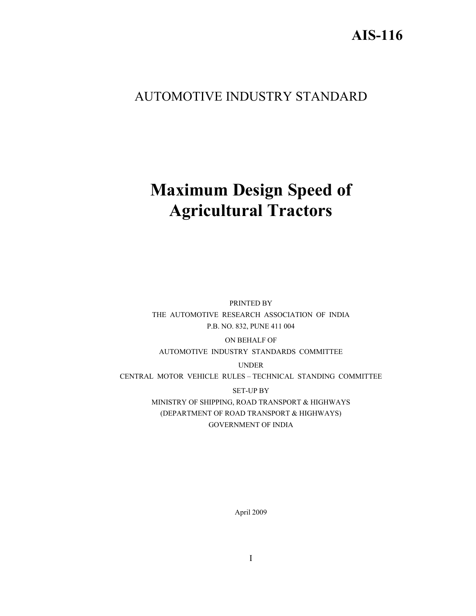# **AIS-116**

# AUTOMOTIVE INDUSTRY STANDARD

# **Maximum Design Speed of Agricultural Tractors**

PRINTED BY THE AUTOMOTIVE RESEARCH ASSOCIATION OF INDIA P.B. NO. 832, PUNE 411 004

ON BEHALF OF AUTOMOTIVE INDUSTRY STANDARDS COMMITTEE

#### UNDER

CENTRAL MOTOR VEHICLE RULES – TECHNICAL STANDING COMMITTEE

SET-UP BY MINISTRY OF SHIPPING, ROAD TRANSPORT & HIGHWAYS (DEPARTMENT OF ROAD TRANSPORT & HIGHWAYS) GOVERNMENT OF INDIA

April 2009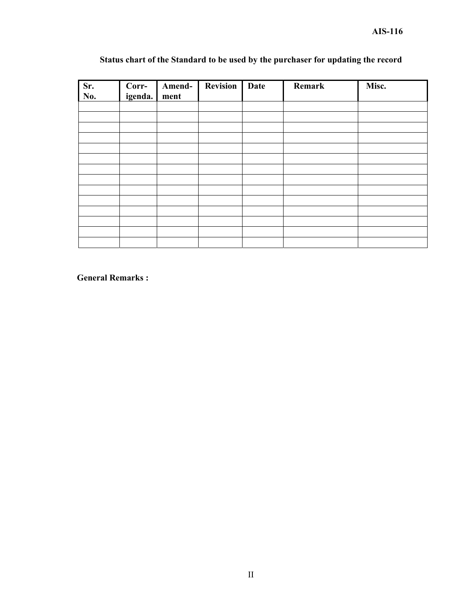| Sr.<br>No. | Corr-<br>igenda. | Amend-<br>ment | <b>Revision</b> | Date | Remark | Misc. |
|------------|------------------|----------------|-----------------|------|--------|-------|
|            |                  |                |                 |      |        |       |
|            |                  |                |                 |      |        |       |
|            |                  |                |                 |      |        |       |
|            |                  |                |                 |      |        |       |
|            |                  |                |                 |      |        |       |
|            |                  |                |                 |      |        |       |
|            |                  |                |                 |      |        |       |
|            |                  |                |                 |      |        |       |
|            |                  |                |                 |      |        |       |
|            |                  |                |                 |      |        |       |
|            |                  |                |                 |      |        |       |
|            |                  |                |                 |      |        |       |
|            |                  |                |                 |      |        |       |
|            |                  |                |                 |      |        |       |

## **Status chart of the Standard to be used by the purchaser for updating the record**

 **General Remarks :**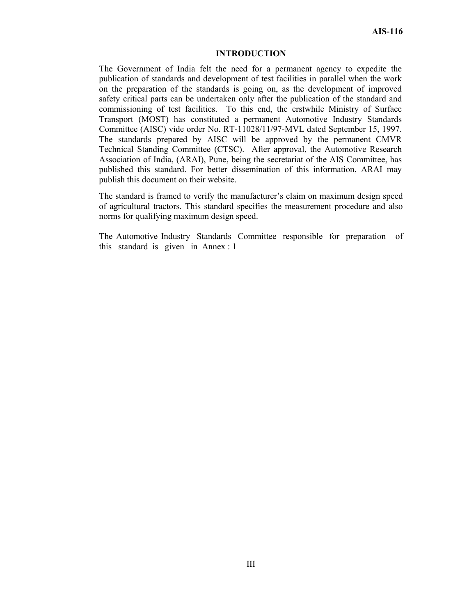#### **INTRODUCTION**

The Government of India felt the need for a permanent agency to expedite the publication of standards and development of test facilities in parallel when the work on the preparation of the standards is going on, as the development of improved safety critical parts can be undertaken only after the publication of the standard and commissioning of test facilities. To this end, the erstwhile Ministry of Surface Transport (MOST) has constituted a permanent Automotive Industry Standards Committee (AISC) vide order No. RT-11028/11/97-MVL dated September 15, 1997. The standards prepared by AISC will be approved by the permanent CMVR Technical Standing Committee (CTSC). After approval, the Automotive Research Association of India, (ARAI), Pune, being the secretariat of the AIS Committee, has published this standard. For better dissemination of this information, ARAI may publish this document on their website.

The standard is framed to verify the manufacturer's claim on maximum design speed of agricultural tractors. This standard specifies the measurement procedure and also norms for qualifying maximum design speed.

The Automotive Industry Standards Committee responsible for preparation of this standard is given in Annex : 1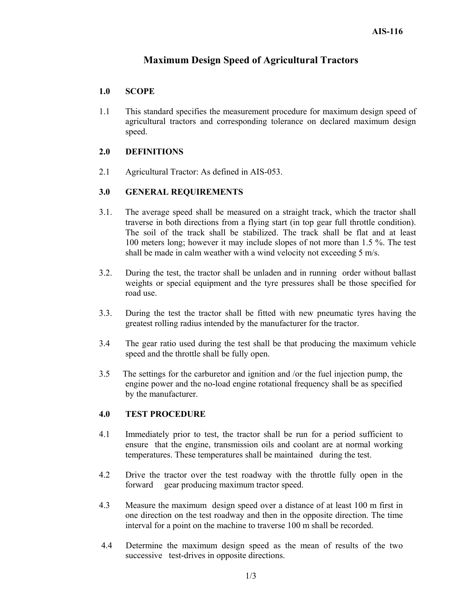## **Maximum Design Speed of Agricultural Tractors**

#### **1.0 SCOPE**

1.1 This standard specifies the measurement procedure for maximum design speed of agricultural tractors and corresponding tolerance on declared maximum design speed.

#### **2.0 DEFINITIONS**

2.1 Agricultural Tractor: As defined in AIS-053.

#### **3.0 GENERAL REQUIREMENTS**

- 3.1. The average speed shall be measured on a straight track, which the tractor shall traverse in both directions from a flying start (in top gear full throttle condition). The soil of the track shall be stabilized. The track shall be flat and at least 100 meters long; however it may include slopes of not more than 1.5 %. The test shall be made in calm weather with a wind velocity not exceeding 5 m/s.
- 3.2. During the test, the tractor shall be unladen and in running order without ballast weights or special equipment and the tyre pressures shall be those specified for road use.
- 3.3. During the test the tractor shall be fitted with new pneumatic tyres having the greatest rolling radius intended by the manufacturer for the tractor.
- 3.4 The gear ratio used during the test shall be that producing the maximum vehicle speed and the throttle shall be fully open.
- 3.5 The settings for the carburetor and ignition and /or the fuel injection pump, the engine power and the no-load engine rotational frequency shall be as specified by the manufacturer.

#### **4.0 TEST PROCEDURE**

- 4.1 Immediately prior to test, the tractor shall be run for a period sufficient to ensure that the engine, transmission oils and coolant are at normal working temperatures. These temperatures shall be maintained during the test.
- 4.2 Drive the tractor over the test roadway with the throttle fully open in the forward gear producing maximum tractor speed.
- 4.3 Measure the maximum design speed over a distance of at least 100 m first in one direction on the test roadway and then in the opposite direction. The time interval for a point on the machine to traverse 100 m shall be recorded.
- 4.4 Determine the maximum design speed as the mean of results of the two successive test-drives in opposite directions.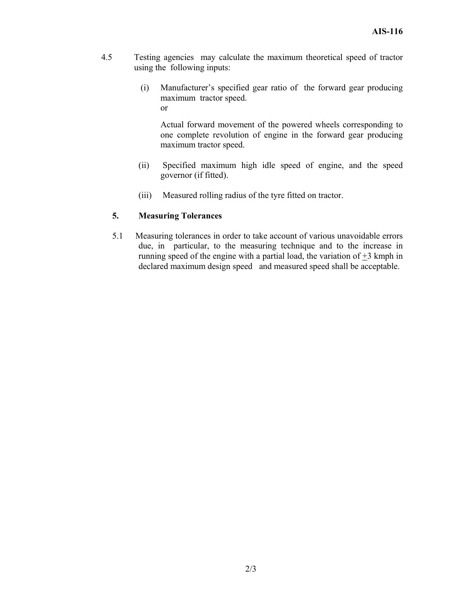- 4.5 Testing agencies may calculate the maximum theoretical speed of tractor using the following inputs:
	- (i) Manufacturer's specified gear ratio of the forward gear producing maximum tractor speed. or

Actual forward movement of the powered wheels corresponding to one complete revolution of engine in the forward gear producing maximum tractor speed.

- (ii) Specified maximum high idle speed of engine, and the speed governor (if fitted).
- (iii) Measured rolling radius of the tyre fitted on tractor.

#### **5. Measuring Tolerances**

5.1 Measuring tolerances in order to take account of various unavoidable errors due, in particular, to the measuring technique and to the increase in running speed of the engine with a partial load, the variation of  $\pm 3$  kmph in declared maximum design speed and measured speed shall be acceptable.